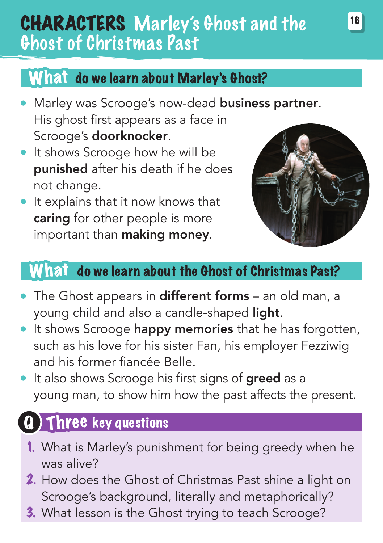## CHARACTERS Marley's Ghost and the Ghost of Christmas Past

### What do we learn about Marley's Ghost?

- Marley was Scrooge's now-dead business partner. His ghost first appears as a face in Scrooge's doorknocker.
- It shows Scrooge how he will be punished after his death if he does not change.
- It explains that it now knows that caring for other people is more important than making money.



#### What do we learn about the Ghost of Christmas Past?

- The Ghost appears in different forms an old man, a young child and also a candle-shaped light.
- It shows Scrooge happy memories that he has forgotten, such as his love for his sister Fan, his employer Fezziwig and his former fiancée Belle.
- It also shows Scrooge his first signs of **greed** as a young man, to show him how the past affects the present.

### Three key questions

- 1. What is Marley's punishment for being greedy when he was alive?
- 2. How does the Ghost of Christmas Past shine a light on Scrooge's background, literally and metaphorically?
- 3. What lesson is the Ghost trying to teach Scrooge?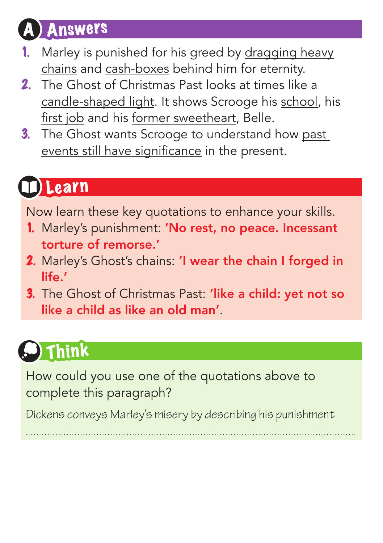## **Answers**

- Marley is punished for his greed by dragging heavy chains and cash-boxes behind him for eternity.
- 2. The Ghost of Christmas Past looks at times like a candle-shaped light. It shows Scrooge his school, his first job and his former sweetheart, Belle.
- 3. The Ghost wants Scrooge to understand how past events still have significance in the present.

# Learn

Now learn these key quotations to enhance your skills.

- 1. Marley's punishment: 'No rest, no peace. Incessant torture of remorse.'
- 2. Marley's Ghost's chains: 'I wear the chain I forged in life.'
- 3. The Ghost of Christmas Past: 'like a child: yet not so like a child as like an old man'.

# Think

How could you use one of the quotations above to complete this paragraph?

Dickens conveys Marley's misery by describing his punishment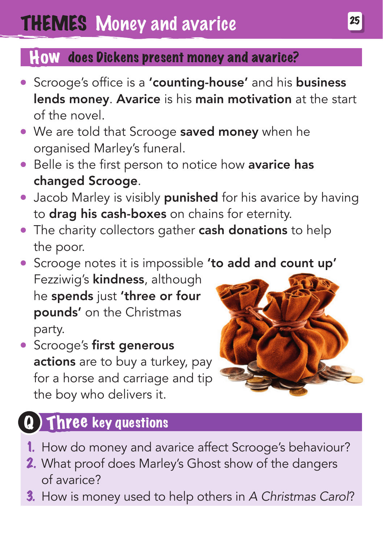#### How does Dickens present money and avarice?

- Scrooge's office is a 'counting-house' and his business lends money. Avarice is his main motivation at the start of the novel.
- We are told that Scrooge saved money when he organised Marley's funeral.
- **Belle is the first person to notice how avarice has** changed Scrooge.
- Jacob Marley is visibly **punished** for his avarice by having to drag his cash-boxes on chains for eternity.
- The charity collectors gather cash donations to help the poor.
- **Scrooge notes it is impossible 'to add and count up'** Fezziwig's **kindness**, although he spends just 'three or four pounds' on the Christmas party.
- **Scrooge's first generous** actions are to buy a turkey, pay for a horse and carriage and tip the boy who delivers it.



### Q) Three key questions

- 1. How do money and avarice affect Scrooge's behaviour?
- 2. What proof does Marley's Ghost show of the dangers of avarice?
- 3. How is money used to help others in *A Christmas Carol*?